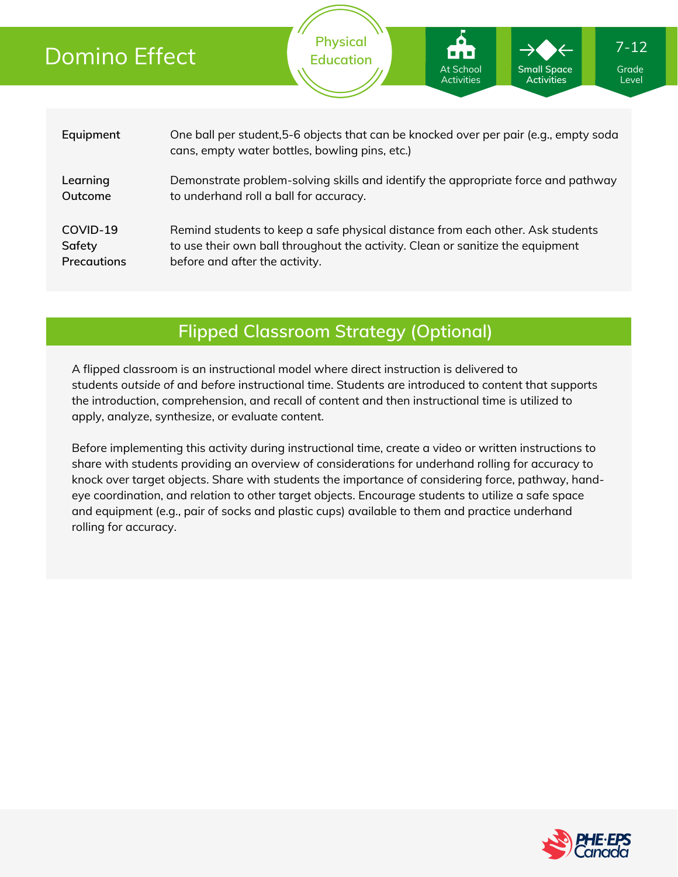# Domino Effect

**Physical Education** Remind students to keep a safe physical distance from each other. Ask students to use their own ball throughout the activity. Clean or sanitize the equipment before and after the activity. **Equipment Learning Outcome** One ball per student,5-6 objects that can be knocked over per pair (e.g., empty soda cans, empty water bottles, bowling pins, etc.) Demonstrate problem-solving skills and identify the appropriate force and pathway to underhand roll a ball for accuracy. **COVID-19 Safety Precautions** Grade Level 7-12 At School **Activities Small Space Activities**

## **Flipped Classroom Strategy (Optional)**

A flipped classroom is an instructional model where direct instruction is delivered to students *outside of* and *before* instructional time. Students are introduced to content that supports the introduction, comprehension, and recall of content and then instructional time is utilized to apply, analyze, synthesize, or evaluate content.

Before implementing this activity during instructional time, create a video or written instructions to share with students providing an overview of considerations for underhand rolling for accuracy to knock over target objects. Share with students the importance of considering force, pathway, handeye coordination, and relation to other target objects. Encourage students to utilize a safe space and equipment (e.g., pair of socks and plastic cups) available to them and practice underhand rolling for accuracy.

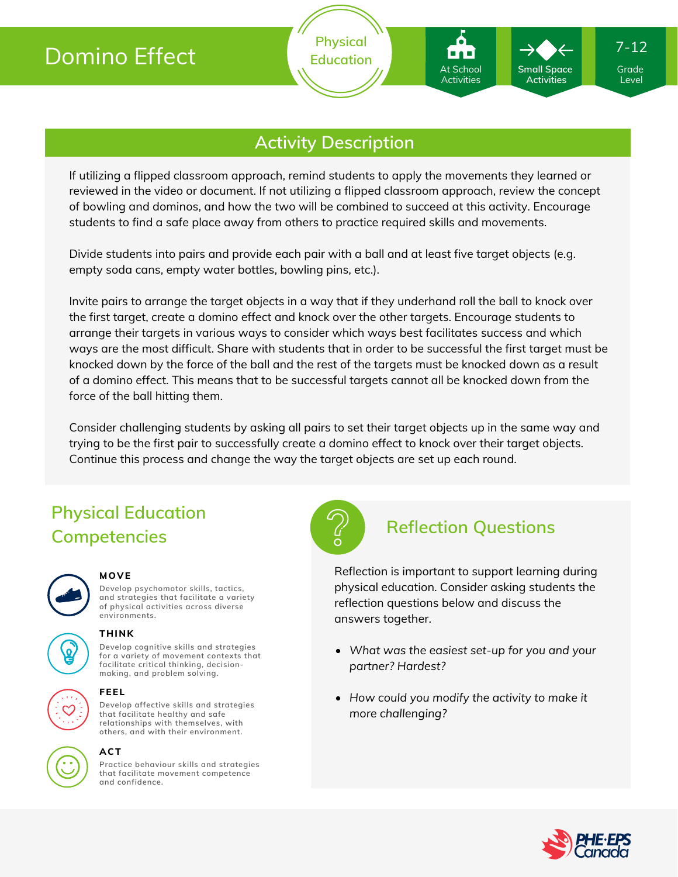

**Physical Education**

If utilizing a flipped classroom approach, remind students to apply the movements they learned or reviewed in the video or document. If not utilizing a flipped classroom approach, review the concept of bowling and dominos, and how the two will be combined to succeed at this activity. Encourage students to find a safe place away from others to practice required skills and movements.

Divide students into pairs and provide each pair with a ball and at least five target objects (e.g. empty soda cans, empty water bottles, bowling pins, etc.).

Invite pairs to arrange the target objects in a way that if they underhand roll the ball to knock over the first target, create a domino effect and knock over the other targets. Encourage students to arrange their targets in various ways to consider which ways best facilitates success and which ways are the most difficult. Share with students that in order to be successful the first target must be knocked down by the force of the ball and the rest of the targets must be knocked down as a result of a domino effect. This means that to be successful targets cannot all be knocked down from the force of the ball hitting them.

Consider challenging students by asking all pairs to set their target objects up in the same way and trying to be the first pair to successfully create a domino effect to knock over their target objects. Continue this process and change the way the target objects are set up each round.

# **Physical Education Competencies**



### **MOVE**

**Develop psychomotor skills, tactics, and strategies that facilitate a variety of physical activities across diverse environments.**



### **THINK**

**Develop cognitive skills and strategies for a variety of movement contexts that facilitate critical thinking, decision making, and problem solving.**



### **FEEL**

**Develop affective skills and strategies that facilitate healthy and safe relationships with themselves, with others, and with their environment.**



### **ACT**

**Practice behaviour skills and strategies that facilitate movement competence and confidence.**



## **Reflection Questions**

At School Activities

**Small Space Activities**

Reflection is important to support learning during physical education. Consider asking students the reflection questions below and discuss the answers together.

- *What was the easiest set-up for you and your partner? Hardest?*
- *How could you modify the activity to make it more challenging?*



Grade Level

7-12